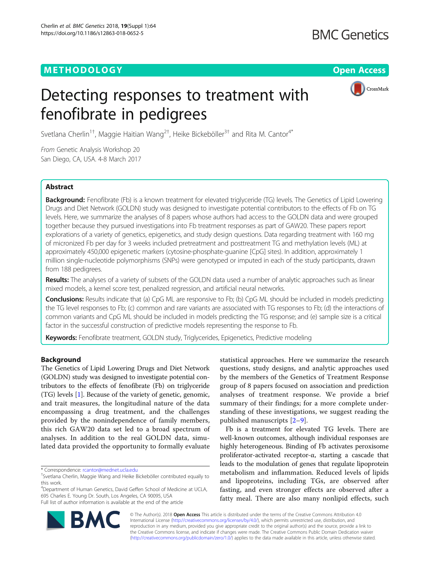## METHODOLOGY AND THE SERVICE SERVICES AND THE SERVICE SERVICES AND THE SERVICES OPEN ACCESS



# Detecting responses to treatment with fenofibrate in pedigrees

Svetlana Cherlin $^{1\dagger}$ , Maggie Haitian Wang $^{2\dagger}$ , Heike Bickeböller $^{3\dagger}$  and Rita M. Cantor $^{4^\ast}$ 

From Genetic Analysis Workshop 20 San Diego, CA, USA. 4-8 March 2017

## **Abstract**

Background: Fenofibrate (Fb) is a known treatment for elevated triglyceride (TG) levels. The Genetics of Lipid Lowering Drugs and Diet Network (GOLDN) study was designed to investigate potential contributors to the effects of Fb on TG levels. Here, we summarize the analyses of 8 papers whose authors had access to the GOLDN data and were grouped together because they pursued investigations into Fb treatment responses as part of GAW20. These papers report explorations of a variety of genetics, epigenetics, and study design questions. Data regarding treatment with 160 mg of micronized Fb per day for 3 weeks included pretreatment and posttreatment TG and methylation levels (ML) at approximately 450,000 epigenetic markers (cytosine-phosphate-guanine [CpG] sites). In addition, approximately 1 million single-nucleotide polymorphisms (SNPs) were genotyped or imputed in each of the study participants, drawn from 188 pedigrees.

Results: The analyses of a variety of subsets of the GOLDN data used a number of analytic approaches such as linear mixed models, a kernel score test, penalized regression, and artificial neural networks.

Conclusions: Results indicate that (a) CpG ML are responsive to Fb; (b) CpG ML should be included in models predicting the TG level responses to Fb; (c) common and rare variants are associated with TG responses to Fb; (d) the interactions of common variants and CpG ML should be included in models predicting the TG response; and (e) sample size is a critical factor in the successful construction of predictive models representing the response to Fb.

Keywords: Fenofibrate treatment, GOLDN study, Triglycerides, Epigenetics, Predictive modeling

## **Background**

The Genetics of Lipid Lowering Drugs and Diet Network (GOLDN) study was designed to investigate potential contributors to the effects of fenofibrate (Fb) on triglyceride (TG) levels [\[1\]](#page-7-0). Because of the variety of genetic, genomic, and trait measures, the longitudinal nature of the data encompassing a drug treatment, and the challenges provided by the nonindependence of family members, this rich GAW20 data set led to a broad spectrum of analyses. In addition to the real GOLDN data, simulated data provided the opportunity to formally evaluate

\* Correspondence: [rcantor@mednet.ucla.edu](mailto:rcantor@mednet.ucla.edu) †

4 Department of Human Genetics, David Geffen School of Medicine at UCLA, 695 Charles E. Young Dr. South, Los Angeles, CA 90095, USA Full list of author information is available at the end of the article

statistical approaches. Here we summarize the research questions, study designs, and analytic approaches used by the members of the Genetics of Treatment Response group of 8 papers focused on association and prediction analyses of treatment response. We provide a brief summary of their findings; for a more complete understanding of these investigations, we suggest reading the published manuscripts [\[2](#page-7-0)–[9](#page-7-0)].

Fb is a treatment for elevated TG levels. There are well-known outcomes, although individual responses are highly heterogeneous. Binding of Fb activates peroxisome proliferator-activated receptor-α, starting a cascade that leads to the modulation of genes that regulate lipoprotein metabolism and inflammation. Reduced levels of lipids and lipoproteins, including TGs, are observed after fasting, and even stronger effects are observed after a fatty meal. There are also many nonlipid effects, such



© The Author(s). 2018 Open Access This article is distributed under the terms of the Creative Commons Attribution 4.0 International License [\(http://creativecommons.org/licenses/by/4.0/](http://creativecommons.org/licenses/by/4.0/)), which permits unrestricted use, distribution, and reproduction in any medium, provided you give appropriate credit to the original author(s) and the source, provide a link to the Creative Commons license, and indicate if changes were made. The Creative Commons Public Domain Dedication waiver [\(http://creativecommons.org/publicdomain/zero/1.0/](http://creativecommons.org/publicdomain/zero/1.0/)) applies to the data made available in this article, unless otherwise stated.

Svetlana Cherlin, Maggie Wang and Heike Bickeböller contributed equally to this work.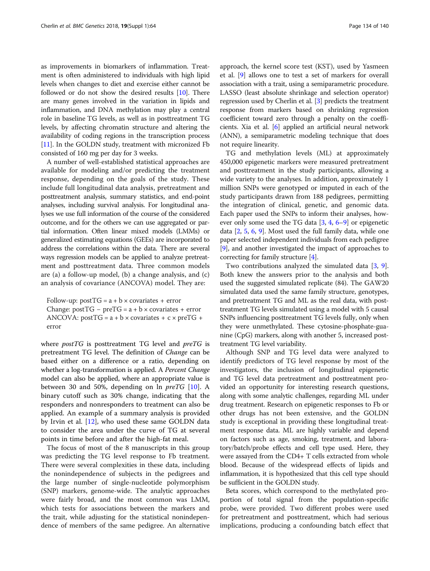as improvements in biomarkers of inflammation. Treatment is often administered to individuals with high lipid levels when changes to diet and exercise either cannot be followed or do not show the desired results [[10](#page-7-0)]. There are many genes involved in the variation in lipids and inflammation, and DNA methylation may play a central role in baseline TG levels, as well as in posttreatment TG levels, by affecting chromatin structure and altering the availability of coding regions in the transcription process [[11](#page-7-0)]. In the GOLDN study, treatment with micronized Fb consisted of 160 mg per day for 3 weeks.

A number of well-established statistical approaches are available for modeling and/or predicting the treatment response, depending on the goals of the study. These include full longitudinal data analysis, pretreatment and posttreatment analysis, summary statistics, and end-point analyses, including survival analysis. For longitudinal analyses we use full information of the course of the considered outcome, and for the others we can use aggregated or partial information. Often linear mixed models (LMMs) or generalized estimating equations (GEEs) are incorporated to address the correlations within the data. There are several ways regression models can be applied to analyze pretreatment and posttreatment data. Three common models are (a) a follow-up model, (b) a change analysis, and (c) an analysis of covariance (ANCOVA) model. They are:

 $F_1$ Follow-up:  $F_2$  = a + b × covariates + error<br>ANCOVA: postTG = a + b × covariates + c × preTG ANCOVA:  $postTG = a + b \times covariates + c \times prefG +$ error

where  $postTG$  is posttreatment TG level and  $preTG$  is pretreatment TG level. The definition of Change can be based either on a difference or a ratio, depending on whether a log-transformation is applied. A Percent Change model can also be applied, where an appropriate value is between 30 and 50%, depending on ln  $preTG$  [[10\]](#page-7-0). A binary cutoff such as 30% change, indicating that the responders and nonresponders to treatment can also be applied. An example of a summary analysis is provided by Irvin et al.  $[12]$  $[12]$ , who used these same GOLDN data to consider the area under the curve of TG at several points in time before and after the high-fat meal.

The focus of most of the 8 manuscripts in this group was predicting the TG level response to Fb treatment. There were several complexities in these data, including the nonindependence of subjects in the pedigrees and the large number of single-nucleotide polymorphism (SNP) markers, genome-wide. The analytic approaches were fairly broad, and the most common was LMM, which tests for associations between the markers and the trait, while adjusting for the statistical nonindependence of members of the same pedigree. An alternative approach, the kernel score test (KST), used by Yasmeen et al. [\[9](#page-7-0)] allows one to test a set of markers for overall association with a trait, using a semiparametric procedure. LASSO (least absolute shrinkage and selection operator) regression used by Cherlin et al. [[3\]](#page-7-0) predicts the treatment response from markers based on shrinking regression coefficient toward zero through a penalty on the coefficients. Xia et al. [\[6\]](#page-7-0) applied an artificial neural network (ANN), a semiparametric modeling technique that does not require linearity.

TG and methylation levels (ML) at approximately 450,000 epigenetic markers were measured pretreatment and posttreatment in the study participants, allowing a wide variety to the analyses. In addition, approximately 1 million SNPs were genotyped or imputed in each of the study participants drawn from 188 pedigrees, permitting the integration of clinical, genetic, and genomic data. Each paper used the SNPs to inform their analyses, however only some used the TG data  $[3, 4, 6-9]$  $[3, 4, 6-9]$  $[3, 4, 6-9]$  $[3, 4, 6-9]$  $[3, 4, 6-9]$  $[3, 4, 6-9]$  $[3, 4, 6-9]$  $[3, 4, 6-9]$  or epigenetic data [[2,](#page-7-0) [5,](#page-7-0) [6](#page-7-0), [9](#page-7-0)]. Most used the full family data, while one paper selected independent individuals from each pedigree [[9\]](#page-7-0), and another investigated the impact of approaches to correcting for family structure [\[4\]](#page-7-0).

Two contributions analyzed the simulated data [\[3](#page-7-0), [9](#page-7-0)]. Both knew the answers prior to the analysis and both used the suggested simulated replicate (84). The GAW20 simulated data used the same family structure, genotypes, and pretreatment TG and ML as the real data, with posttreatment TG levels simulated using a model with 5 causal SNPs influencing posttreatment TG levels fully, only when they were unmethylated. These cytosine-phosphate-guanine (CpG) markers, along with another 5, increased posttreatment TG level variability.

Although SNP and TG level data were analyzed to identify predictors of TG level response by most of the investigators, the inclusion of longitudinal epigenetic and TG level data pretreatment and posttreatment provided an opportunity for interesting research questions, along with some analytic challenges, regarding ML under drug treatment. Research on epigenetic responses to Fb or other drugs has not been extensive, and the GOLDN study is exceptional in providing these longitudinal treatment response data. ML are highly variable and depend on factors such as age, smoking, treatment, and laboratory/batch/probe effects and cell type used. Here, they were assayed from the CD4+ T cells extracted from whole blood. Because of the widespread effects of lipids and inflammation, it is hypothesized that this cell type should be sufficient in the GOLDN study.

Beta scores, which correspond to the methylated proportion of total signal from the population-specific probe, were provided. Two different probes were used for pretreatment and posttreatment, which had serious implications, producing a confounding batch effect that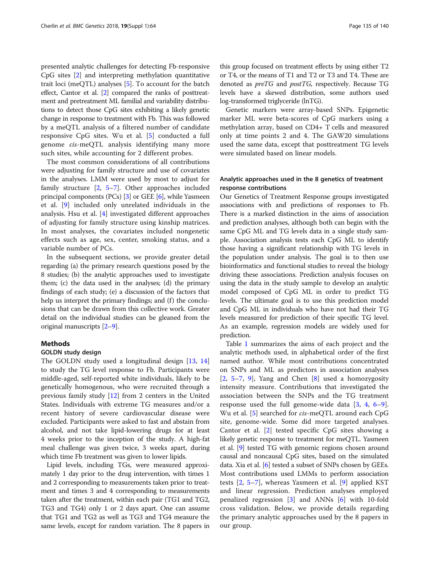presented analytic challenges for detecting Fb-responsive CpG sites [\[2](#page-7-0)] and interpreting methylation quantitative trait loci (meQTL) analyses [[5\]](#page-7-0). To account for the batch effect, Cantor et al. [\[2\]](#page-7-0) compared the ranks of posttreatment and pretreatment ML familial and variability distributions to detect those CpG sites exhibiting a likely genetic change in response to treatment with Fb. This was followed by a meQTL analysis of a filtered number of candidate responsive CpG sites. Wu et al. [[5\]](#page-7-0) conducted a full genome cis-meQTL analysis identifying many more such sites, while accounting for 2 different probes.

The most common considerations of all contributions were adjusting for family structure and use of covariates in the analyses. LMM were used by most to adjust for family structure  $[2, 5-7]$  $[2, 5-7]$  $[2, 5-7]$  $[2, 5-7]$  $[2, 5-7]$  $[2, 5-7]$  $[2, 5-7]$ . Other approaches included principal components (PCs) [\[3\]](#page-7-0) or GEE [\[6](#page-7-0)], while Yasmeen et al. [[9\]](#page-7-0) included only unrelated individuals in the analysis. Hsu et al. [\[4](#page-7-0)] investigated different approaches of adjusting for family structure using kinship matrices. In most analyses, the covariates included nongenetic effects such as age, sex, center, smoking status, and a variable number of PCs.

In the subsequent sections, we provide greater detail regarding (a) the primary research questions posed by the 8 studies; (b) the analytic approaches used to investigate them; (c) the data used in the analyses; (d) the primary findings of each study; (e) a discussion of the factors that help us interpret the primary findings; and  $(f)$  the conclusions that can be drawn from this collective work. Greater detail on the individual studies can be gleaned from the original manuscripts [\[2](#page-7-0)–[9\]](#page-7-0).

## Methods

#### GOLDN study design

The GOLDN study used a longitudinal design [\[13](#page-7-0), [14](#page-7-0)] to study the TG level response to Fb. Participants were middle-aged, self-reported white individuals, likely to be genetically homogenous, who were recruited through a previous family study [[12](#page-7-0)] from 2 centers in the United States. Individuals with extreme TG measures and/or a recent history of severe cardiovascular disease were excluded. Participants were asked to fast and abstain from alcohol, and not take lipid-lowering drugs for at least 4 weeks prior to the inception of the study. A high-fat meal challenge was given twice, 3 weeks apart, during which time Fb treatment was given to lower lipids.

Lipid levels, including TGs, were measured approximately 1 day prior to the drug intervention, with times 1 and 2 corresponding to measurements taken prior to treatment and times 3 and 4 corresponding to measurements taken after the treatment, within each pair (TG1 and TG2, TG3 and TG4) only 1 or 2 days apart. One can assume that TG1 and TG2 as well as TG3 and TG4 measure the same levels, except for random variation. The 8 papers in

this group focused on treatment effects by using either T2 or T4, or the means of T1 and T2 or T3 and T4. These are denoted as preTG and postTG, respectively. Because TG levels have a skewed distribution, some authors used log-transformed triglyceride (lnTG).

Genetic markers were array-based SNPs. Epigenetic marker ML were beta-scores of CpG markers using a methylation array, based on CD4+ T cells and measured only at time points 2 and 4. The GAW20 simulations used the same data, except that posttreatment TG levels were simulated based on linear models.

## Analytic approaches used in the 8 genetics of treatment response contributions

Our Genetics of Treatment Response groups investigated associations with and predictions of responses to Fb. There is a marked distinction in the aims of association and prediction analyses, although both can begin with the same CpG ML and TG levels data in a single study sample. Association analysis tests each CpG ML to identify those having a significant relationship with TG levels in the population under analysis. The goal is to then use bioinformatics and functional studies to reveal the biology driving these associations. Prediction analysis focuses on using the data in the study sample to develop an analytic model composed of CpG ML in order to predict TG levels. The ultimate goal is to use this prediction model and CpG ML in individuals who have not had their TG levels measured for prediction of their specific TG level. As an example, regression models are widely used for prediction.

Table [1](#page-3-0) summarizes the aims of each project and the analytic methods used, in alphabetical order of the first named author. While most contributions concentrated on SNPs and ML as predictors in association analyses  $[2, 5-7, 9]$  $[2, 5-7, 9]$  $[2, 5-7, 9]$  $[2, 5-7, 9]$  $[2, 5-7, 9]$  $[2, 5-7, 9]$  $[2, 5-7, 9]$  $[2, 5-7, 9]$  $[2, 5-7, 9]$ , Yang and Chen  $[8]$  $[8]$  used a homozygosity intensity measure. Contributions that investigated the association between the SNPs and the TG treatment response used the full genome-wide data [[3,](#page-7-0) [4](#page-7-0), [6](#page-7-0)–[9](#page-7-0)]. Wu et al. [\[5](#page-7-0)] searched for cis-meQTL around each CpG site, genome-wide. Some did more targeted analyses. Cantor et al. [[2\]](#page-7-0) tested specific CpG sites showing a likely genetic response to treatment for meQTL. Yasmeen et al. [\[9\]](#page-7-0) tested TG with genomic regions chosen around causal and noncausal CpG sites, based on the simulated data. Xia et al. [[6\]](#page-7-0) tested a subset of SNPs chosen by GEEs. Most contributions used LMMs to perform association tests [[2,](#page-7-0) [5](#page-7-0)–[7](#page-7-0)], whereas Yasmeen et al. [[9\]](#page-7-0) applied KST and linear regression. Prediction analyses employed penalized regression [[3](#page-7-0)] and ANNs [[6\]](#page-7-0) with 10-fold cross validation. Below, we provide details regarding the primary analytic approaches used by the 8 papers in our group.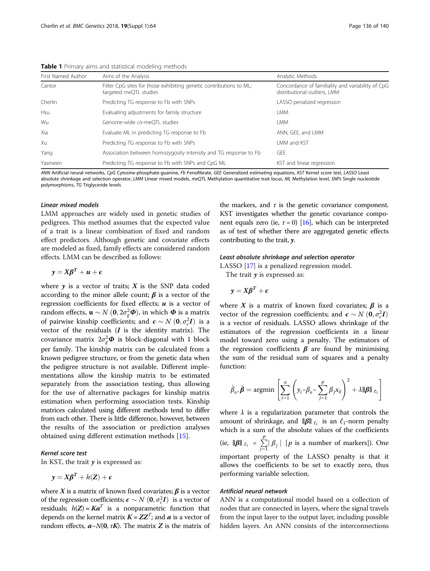| Analytic Methods                                                                  |  |
|-----------------------------------------------------------------------------------|--|
| Concordance of familiality and variability of CpG<br>distributional outliers, LMM |  |
| LASSO penalized regression                                                        |  |
|                                                                                   |  |
|                                                                                   |  |
| ANN, GEE, and LMM                                                                 |  |
| LMM and KST                                                                       |  |
|                                                                                   |  |
| Predicting TG response to Fb with SNPs and CpG ML<br>KST and linear regression    |  |
|                                                                                   |  |

<span id="page-3-0"></span>Table 1 Primary aims and statistical modeling methods

ANN Artificial neural networks, CpG Cytosine-phosphate-guanine, Fb Fenofibrate, GEE Generalized estimating equations, KST Kernel score test, LASSO Least absolute shrinkage and selection operator, LMM Linear mixed models, meQTL Methylation quantitative trait locus, ML Methylation level, SNPs Single nucleotide polymorphisms, TG Triglyceride levels

#### Linear mixed models

LMM approaches are widely used in genetic studies of pedigrees. This method assumes that the expected value of a trait is a linear combination of fixed and random effect predictors. Although genetic and covariate effects are modeled as fixed, family effects are considered random effects. LMM can be described as follows:

$$
y = X\beta^T + u + \epsilon
$$

where  $y$  is a vector of traits;  $X$  is the SNP data coded according to the minor allele count;  $\beta$  is a vector of the regression coefficients for fixed effects;  $u$  is a vector of random effects,  $\mathbf{u} \sim N(0, 2\sigma_g^2 \boldsymbol{\Phi})$ , in which  $\boldsymbol{\Phi}$  is a matrix<br>of pairwise kinghin coefficients; and  $\mathcal{L} \propto N(0, \sigma^2 I)$  is a of pairwise kinship coefficients; and  $\epsilon \sim N(0, \sigma_e^2 I)$  is a vector of the residuals (*I* is the identity matrix). The vector of the residuals  $(I$  is the identity matrix). The covariance matrix  $2\sigma_g^2 \Phi$  is block-diagonal with 1 block per family. The kinship matrix can be calculated from a known pedigree structure, or from the genetic data when the pedigree structure is not available. Different implementations allow the kinship matrix to be estimated separately from the association testing, thus allowing for the use of alternative packages for kinship matrix estimation when performing association tests. Kinship matrices calculated using different methods tend to differ from each other. There is little difference, however, between the results of the association or prediction analyses obtained using different estimation methods [[15\]](#page-7-0).

## Kernel score test

In KST, the trait  $y$  is expressed as:

$$
y = X\beta^T + h(Z) + \epsilon
$$

where X is a matrix of known fixed covariates;  $\beta$  is a vector of the regression coefficients;  $\epsilon \sim N(0, \sigma_e^2 I)$  is a vector of residuals:  $h(Z) - K \sigma_e^T$  is a nonparametric function that residuals;  $h(Z) = Ka^{T}$  is a nonparametric function that depends on the kernel matrix  $K = ZZ^{T}$ ; and  $a$  is a vector of random effects,  $a \sim N(0, \tau K)$ . The matrix Z is the matrix of

the markers, and  $\tau$  is the genetic covariance component. KST investigates whether the genetic covariance component equals zero (ie,  $\tau = 0$ ) [[16](#page-7-0)], which can be interpreted as of test of whether there are aggregated genetic effects contributing to the trait,  $y$ .

#### Least absolute shrinkage and selection operator

LASSO [\[17](#page-7-0)] is a penalized regression model.

The trait  $y$  is expressed as:

$$
y = X\beta^T + \epsilon
$$

where X is a matrix of known fixed covariates;  $\beta$  is a vector of the regression coefficients; and  $\epsilon \sim N(0, \sigma_{\epsilon}^2 I)$ <br>is a vector of residuals LASSO allows shrinkage of the is a vector of residuals. LASSO allows shrinkage of the estimators of the regression coefficients in a linear model toward zero using a penalty. The estimators of the regression coefficients  $\beta$  are found by minimising the sum of the residual sum of squares and a penalty function:

$$
\hat{\beta}_o, \hat{\boldsymbol{\beta}} = \operatorname{argmin} \left[ \sum_{i=1}^n \left( y_i - \beta_o - \sum_{j=1}^p \beta_j x_{ij} \right)^2 + \lambda \|\boldsymbol{\beta}\|_{\ell_1} \right]
$$

where  $\lambda$  is a regularization parameter that controls the amount of shrinkage, and  $\|\boldsymbol{\beta}\|_{\ell_1}$  is an  $\ell_1$ -norm penalty which is a sum of the absolute values of the coefficients (ie,  $\|\boldsymbol{\beta}\|_{\ell_1} = \sum$  $j=1$  $\sum_{i=1}^{r} |\beta_j|$  [*p* is a number of markers]). One important property of the LASSO penalty is that it allows the coefficients to be set to exactly zero, thus performing variable selection.

## Artificial neural network

ANN is a computational model based on a collection of nodes that are connected in layers, where the signal travels from the input layer to the output layer, including possible hidden layers. An ANN consists of the interconnections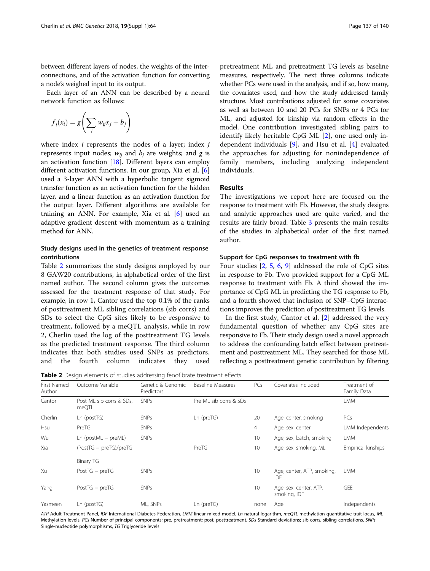between different layers of nodes, the weights of the interconnections, and of the activation function for converting a node's weighed input to its output.

Each layer of an ANN can be described by a neural network function as follows:

$$
f_i(x_i) = g\left(\sum_j w_{ij}x_j + b_j\right)
$$

where index  $i$  represents the nodes of a layer; index  $j$ represents input nodes;  $w_{ij}$  and  $b_j$  are weights; and g is an activation function [[18](#page-7-0)]. Different layers can employ different activation functions. In our group, Xia et al. [\[6](#page-7-0)] used a 3-layer ANN with a hyperbolic tangent sigmoid transfer function as an activation function for the hidden layer, and a linear function as an activation function for the output layer. Different algorithms are available for training an ANN. For example, Xia et al. [\[6](#page-7-0)] used an adaptive gradient descent with momentum as a training method for ANN.

## Study designs used in the genetics of treatment response contributions

Table 2 summarizes the study designs employed by our 8 GAW20 contributions, in alphabetical order of the first named author. The second column gives the outcomes assessed for the treatment response of that study. For example, in row 1, Cantor used the top 0.1% of the ranks of posttreatment ML sibling correlations (sib corrs) and SDs to select the CpG sites likely to be responsive to treatment, followed by a meQTL analysis, while in row 2, Cherlin used the log of the posttreatment TG levels as the predicted treatment response. The third column indicates that both studies used SNPs as predictors, and the fourth column indicates they used

pretreatment ML and pretreatment TG levels as baseline measures, respectively. The next three columns indicate whether PCs were used in the analysis, and if so, how many, the covariates used, and how the study addressed family structure. Most contributions adjusted for some covariates as well as between 10 and 20 PCs for SNPs or 4 PCs for ML, and adjusted for kinship via random effects in the model. One contribution investigated sibling pairs to identify likely heritable CpG ML [[2\]](#page-7-0), one used only independent individuals [[9\]](#page-7-0), and Hsu et al. [\[4](#page-7-0)] evaluated the approaches for adjusting for nonindependence of family members, including analyzing independent individuals.

## Results

The investigations we report here are focused on the response to treatment with Fb. However, the study designs and analytic approaches used are quite varied, and the results are fairly broad. Table [3](#page-5-0) presents the main results of the studies in alphabetical order of the first named author.

## Support for CpG responses to treatment with fb

Four studies [[2,](#page-7-0) [5](#page-7-0), [6](#page-7-0), [9\]](#page-7-0) addressed the role of CpG sites in response to Fb. Two provided support for a CpG ML response to treatment with Fb. A third showed the importance of CpG ML in predicting the TG response to Fb, and a fourth showed that inclusion of SNP–CpG interactions improves the prediction of posttreatment TG levels.

In the first study, Cantor et al. [[2\]](#page-7-0) addressed the very fundamental question of whether any CpG sites are responsive to Fb. Their study design used a novel approach to address the confounding batch effect between pretreatment and posttreatment ML. They searched for those ML reflecting a posttreatment genetic contribution by filtering

Table 2 Design elements of studies addressing fenofibrate treatment effects

| First Named<br>Author | Outcome Variable                  | Genetic & Genomic<br>Predictors | <b>Baseline Measures</b> | PCs  | Covariates Included                    | Treatment of<br>Family Data |
|-----------------------|-----------------------------------|---------------------------------|--------------------------|------|----------------------------------------|-----------------------------|
| Cantor                | Post ML sib corrs & SDs,<br>meQTL | <b>SNPs</b>                     | Pre ML sib corrs & SDs   |      |                                        | <b>LMM</b>                  |
| Cherlin               | Ln (postTG)                       | <b>SNPs</b>                     | $Ln$ (pre $TG$ )         | 20   | Age, center, smoking                   | PCs                         |
| Hsu                   | PreTG                             | <b>SNPs</b>                     |                          | 4    | Age, sex, center                       | LMM Independents            |
| Wu                    | $Ln (postML - preML)$             | <b>SNPs</b>                     |                          | 10   | Age, sex, batch, smoking               | <b>LMM</b>                  |
| Xia                   | (PostTG - preTG)/preTG            |                                 | PreTG                    | 10   | Age, sex, smoking, ML                  | Empirical kinships          |
|                       | Binary TG                         |                                 |                          |      |                                        |                             |
| Xu                    | $PostTG - prefix$                 | <b>SNPs</b>                     |                          | 10   | Age, center, ATP, smoking,<br>IDF      | <b>LMM</b>                  |
| Yang                  | $PostTG - prefix$                 | <b>SNPs</b>                     |                          | 10   | Age, sex, center, ATP,<br>smoking, IDF | GEE                         |
| Yasmeen               | Ln (postTG)                       | ML, SNPs                        | $Ln$ (pre $TG$ )         | none | Age                                    | Independents                |

ATP Adult Treatment Panel, IDF International Diabetes Federation, LMM linear mixed model, Ln natural logarithm, meQTL methylation quantitative trait locus, ML Methylation levels, PCs Number of principal components; pre, pretreatment; post, posttreatment, SDs Standard deviations; sib corrs, sibling correlations, SNPs Single-nucleotide polymorphisms, TG Triglyceride levels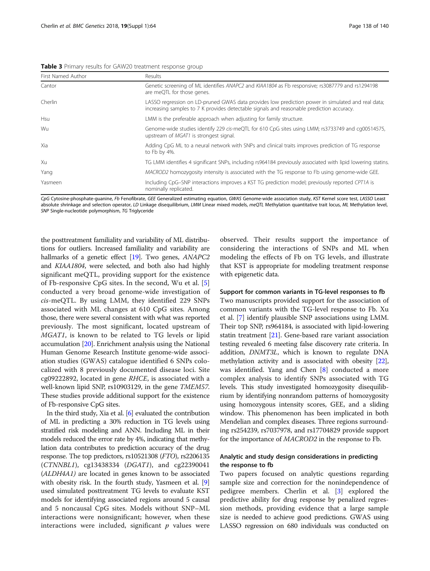<span id="page-5-0"></span>

| First Named Author | Results                                                                                                                                                                                        |
|--------------------|------------------------------------------------------------------------------------------------------------------------------------------------------------------------------------------------|
| Cantor             | Genetic screening of ML identifies ANAPC2 and KIAA1804 as Fb responsive; rs3087779 and rs1294198<br>are meQTL for those genes.                                                                 |
| Cherlin            | LASSO regression on LD-pruned GWAS data provides low prediction power in simulated and real data;<br>increasing samples to 7 K provides detectable signals and reasonable prediction accuracy. |
| <b>Hsu</b>         | LMM is the preferable approach when adjusting for family structure.                                                                                                                            |
| Wu                 | Genome-wide studies identify 229 cis-meQTL for 610 CpG sites using LMM; rs3733749 and cq00514575,<br>upstream of <i>MGAT1</i> is strongest signal.                                             |
| Xia                | Adding CpG ML to a neural network with SNPs and clinical traits improves prediction of TG response<br>to Fb by 4%.                                                                             |
| Xu                 | TG LMM identifies 4 significant SNPs, including rs964184 previously associated with lipid lowering statins                                                                                     |
| Yang               | MACROD2 homozygosity intensity is associated with the TG response to Fb using genome-wide GEE.                                                                                                 |
| Yasmeen            | Including CpG-SNP interactions improves a KST TG prediction model; previously reported CPT1A is<br>nominally replicated.                                                                       |

CpG Cytosine-phosphate-guanine, Fb Fenofibrate, GEE Generalized estimating equation, GWAS Genome-wide association study, KST Kernel score test, LASSO Least absolute shrinkage and selection operator, LD Linkage disequilibrium, LMM Linear mixed models, meQTL Methylation quantitative trait locus, ML Methylation level, SNP Single-nucleotide polymorphism, TG Triglyceride

the posttreatment familiality and variability of ML distributions for outliers. Increased familiality and variability are hallmarks of a genetic effect [[19](#page-7-0)]. Two genes, ANAPC2 and KIAA1804, were selected, and both also had highly significant meQTL, providing support for the existence of Fb-responsive CpG sites. In the second, Wu et al. [\[5](#page-7-0)] conducted a very broad genome-wide investigation of cis-meQTL. By using LMM, they identified 229 SNPs associated with ML changes at 610 CpG sites. Among those, there were several consistent with what was reported previously. The most significant, located upstream of MGAT1, is known to be related to TG levels or lipid accumulation [[20](#page-7-0)]. Enrichment analysis using the National Human Genome Research Institute genome-wide association studies (GWAS) catalogue identified 6 SNPs colocalized with 8 previously documented disease loci. Site cg09222892, located in gene RHCE, is associated with a well-known lipid SNP, rs10903129, in the gene TMEM57. These studies provide additional support for the existence of Fb-responsive CpG sites.

In the third study, Xia et al. [\[6\]](#page-7-0) evaluated the contribution of ML in predicting a 30% reduction in TG levels using stratified risk modeling and ANN. Including ML in their models reduced the error rate by 4%, indicating that methylation data contributes to prediction accuracy of the drug response. The top predictors, rs10521308 (FTO), rs2206135 (CTNNBL1), cg13438334 (DGAT1), and cg22390041 (ALDH4A1) are located in genes known to be associated with obesity risk. In the fourth study, Yasmeen et al. [[9](#page-7-0)] used simulated posttreatment TG levels to evaluate KST models for identifying associated regions around 5 causal and 5 noncausal CpG sites. Models without SNP–ML interactions were nonsignificant; however, when these interactions were included, significant  $p$  values were observed. Their results support the importance of considering the interactions of SNPs and ML when modeling the effects of Fb on TG levels, and illustrate that KST is appropriate for modeling treatment response with epigenetic data.

## Support for common variants in TG-level responses to fb

Two manuscripts provided support for the association of common variants with the TG-level response to Fb. Xu et al. [[7\]](#page-7-0) identify plausible SNP associations using LMM. Their top SNP, rs964184, is associated with lipid-lowering statin treatment [[21](#page-7-0)]. Gene-based rare variant association testing revealed 6 meeting false discovery rate criteria. In addition, DNMT3L, which is known to regulate DNA methylation activity and is associated with obesity [[22](#page-7-0)], was identified. Yang and Chen [\[8](#page-7-0)] conducted a more complex analysis to identify SNPs associated with TG levels. This study investigated homozygosity disequilibrium by identifying nonrandom patterns of homozygosity using homozygous intensity scores, GEE, and a sliding window. This phenomenon has been implicated in both Mendelian and complex diseases. Three regions surrounding rs254239, rs7037978, and rs17704829 provide support for the importance of MACROD2 in the response to Fb.

## Analytic and study design considerations in predicting the response to fb

Two papers focused on analytic questions regarding sample size and correction for the nonindependence of pedigree members. Cherlin et al. [\[3](#page-7-0)] explored the predictive ability for drug response by penalized regression methods, providing evidence that a large sample size is needed to achieve good predictions. GWAS using LASSO regression on 680 individuals was conducted on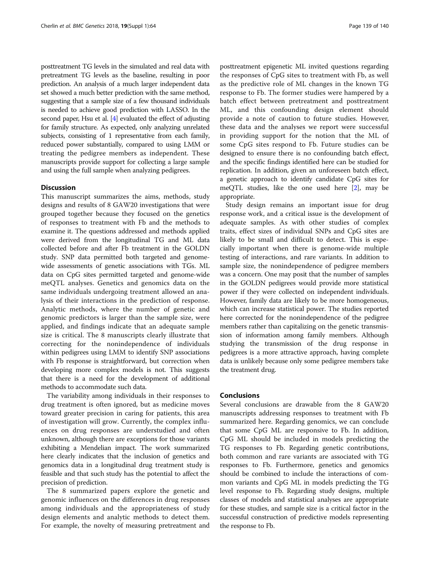posttreatment TG levels in the simulated and real data with pretreatment TG levels as the baseline, resulting in poor prediction. An analysis of a much larger independent data set showed a much better prediction with the same method, suggesting that a sample size of a few thousand individuals is needed to achieve good prediction with LASSO. In the second paper, Hsu et al. [\[4\]](#page-7-0) evaluated the effect of adjusting for family structure. As expected, only analyzing unrelated subjects, consisting of 1 representative from each family, reduced power substantially, compared to using LMM or treating the pedigree members as independent. These manuscripts provide support for collecting a large sample and using the full sample when analyzing pedigrees.

## **Discussion**

This manuscript summarizes the aims, methods, study designs and results of 8 GAW20 investigations that were grouped together because they focused on the genetics of responses to treatment with Fb and the methods to examine it. The questions addressed and methods applied were derived from the longitudinal TG and ML data collected before and after Fb treatment in the GOLDN study. SNP data permitted both targeted and genomewide assessments of genetic associations with TGs. ML data on CpG sites permitted targeted and genome-wide meQTL analyses. Genetics and genomics data on the same individuals undergoing treatment allowed an analysis of their interactions in the prediction of response. Analytic methods, where the number of genetic and genomic predictors is larger than the sample size, were applied, and findings indicate that an adequate sample size is critical. The 8 manuscripts clearly illustrate that correcting for the nonindependence of individuals within pedigrees using LMM to identify SNP associations with Fb response is straightforward, but correction when developing more complex models is not. This suggests that there is a need for the development of additional methods to accommodate such data.

The variability among individuals in their responses to drug treatment is often ignored, but as medicine moves toward greater precision in caring for patients, this area of investigation will grow. Currently, the complex influences on drug responses are understudied and often unknown, although there are exceptions for those variants exhibiting a Mendelian impact. The work summarized here clearly indicates that the inclusion of genetics and genomics data in a longitudinal drug treatment study is feasible and that such study has the potential to affect the precision of prediction.

The 8 summarized papers explore the genetic and genomic influences on the differences in drug responses among individuals and the appropriateness of study design elements and analytic methods to detect them. For example, the novelty of measuring pretreatment and posttreatment epigenetic ML invited questions regarding the responses of CpG sites to treatment with Fb, as well as the predictive role of ML changes in the known TG response to Fb. The former studies were hampered by a batch effect between pretreatment and posttreatment ML, and this confounding design element should provide a note of caution to future studies. However, these data and the analyses we report were successful in providing support for the notion that the ML of some CpG sites respond to Fb. Future studies can be designed to ensure there is no confounding batch effect, and the specific findings identified here can be studied for replication. In addition, given an unforeseen batch effect, a genetic approach to identify candidate CpG sites for meQTL studies, like the one used here [\[2\]](#page-7-0), may be appropriate.

Study design remains an important issue for drug response work, and a critical issue is the development of adequate samples. As with other studies of complex traits, effect sizes of individual SNPs and CpG sites are likely to be small and difficult to detect. This is especially important when there is genome-wide multiple testing of interactions, and rare variants. In addition to sample size, the nonindependence of pedigree members was a concern. One may posit that the number of samples in the GOLDN pedigrees would provide more statistical power if they were collected on independent individuals. However, family data are likely to be more homogeneous, which can increase statistical power. The studies reported here corrected for the nonindependence of the pedigree members rather than capitalizing on the genetic transmission of information among family members. Although studying the transmission of the drug response in pedigrees is a more attractive approach, having complete data is unlikely because only some pedigree members take the treatment drug.

## Conclusions

Several conclusions are drawable from the 8 GAW20 manuscripts addressing responses to treatment with Fb summarized here. Regarding genomics, we can conclude that some CpG ML are responsive to Fb. In addition, CpG ML should be included in models predicting the TG responses to Fb. Regarding genetic contributions, both common and rare variants are associated with TG responses to Fb. Furthermore, genetics and genomics should be combined to include the interactions of common variants and CpG ML in models predicting the TG level response to Fb. Regarding study designs, multiple classes of models and statistical analyses are appropriate for these studies, and sample size is a critical factor in the successful construction of predictive models representing the response to Fb.